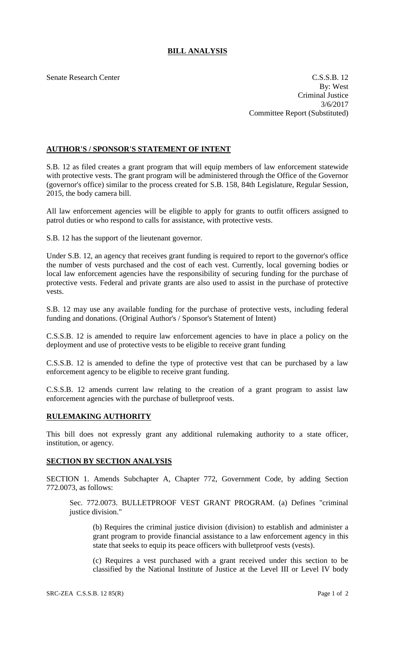## **BILL ANALYSIS**

Senate Research Center Casses and C.S.S.B. 12 By: West Criminal Justice 3/6/2017 Committee Report (Substituted)

## **AUTHOR'S / SPONSOR'S STATEMENT OF INTENT**

S.B. 12 as filed creates a grant program that will equip members of law enforcement statewide with protective vests. The grant program will be administered through the Office of the Governor (governor's office) similar to the process created for S.B. 158, 84th Legislature, Regular Session, 2015, the body camera bill.

All law enforcement agencies will be eligible to apply for grants to outfit officers assigned to patrol duties or who respond to calls for assistance, with protective vests.

S.B. 12 has the support of the lieutenant governor.

Under S.B. 12, an agency that receives grant funding is required to report to the governor's office the number of vests purchased and the cost of each vest. Currently, local governing bodies or local law enforcement agencies have the responsibility of securing funding for the purchase of protective vests. Federal and private grants are also used to assist in the purchase of protective vests.

S.B. 12 may use any available funding for the purchase of protective vests, including federal funding and donations. (Original Author's / Sponsor's Statement of Intent)

C.S.S.B. 12 is amended to require law enforcement agencies to have in place a policy on the deployment and use of protective vests to be eligible to receive grant funding

C.S.S.B. 12 is amended to define the type of protective vest that can be purchased by a law enforcement agency to be eligible to receive grant funding.

C.S.S.B. 12 amends current law relating to the creation of a grant program to assist law enforcement agencies with the purchase of bulletproof vests.

## **RULEMAKING AUTHORITY**

This bill does not expressly grant any additional rulemaking authority to a state officer, institution, or agency.

## **SECTION BY SECTION ANALYSIS**

SECTION 1. Amends Subchapter A, Chapter 772, Government Code, by adding Section 772.0073, as follows:

Sec. 772.0073. BULLETPROOF VEST GRANT PROGRAM. (a) Defines "criminal justice division."

(b) Requires the criminal justice division (division) to establish and administer a grant program to provide financial assistance to a law enforcement agency in this state that seeks to equip its peace officers with bulletproof vests (vests).

(c) Requires a vest purchased with a grant received under this section to be classified by the National Institute of Justice at the Level III or Level IV body